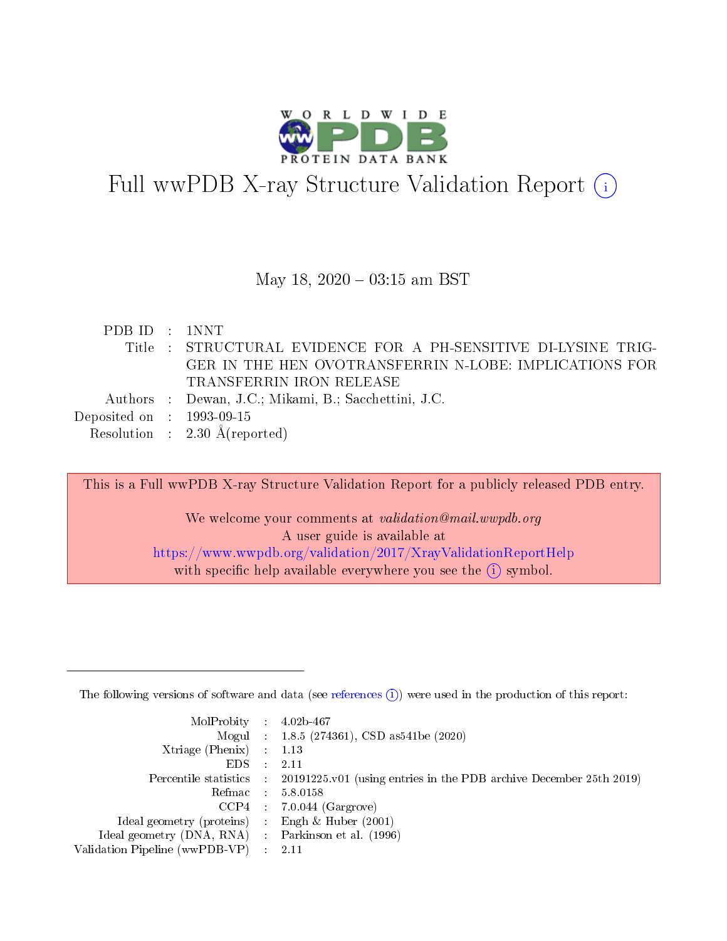

# Full wwPDB X-ray Structure Validation Report (i)

### May 18,  $2020 - 03:15$  am BST

| PDB ID : 1NNT               |                                                                |
|-----------------------------|----------------------------------------------------------------|
|                             | Title : STRUCTURAL EVIDENCE FOR A PH-SENSITIVE DI-LYSINE TRIG- |
|                             | GER IN THE HEN OVOTRANSFERRIN N-LOBE: IMPLICATIONS FOR         |
|                             | TRANSFERRIN IRON RELEASE                                       |
|                             | Authors : Dewan, J.C.; Mikami, B.; Sacchettini, J.C.           |
| Deposited on : $1993-09-15$ |                                                                |
|                             | Resolution : $2.30 \text{ Å}$ (reported)                       |

This is a Full wwPDB X-ray Structure Validation Report for a publicly released PDB entry. We welcome your comments at validation@mail.wwpdb.org A user guide is available at <https://www.wwpdb.org/validation/2017/XrayValidationReportHelp>

with specific help available everywhere you see the  $(i)$  symbol.

The following versions of software and data (see [references](https://www.wwpdb.org/validation/2017/XrayValidationReportHelp#references)  $(1)$ ) were used in the production of this report:

| $MolProbability$ : 4.02b-467                        |               |                                                                                            |
|-----------------------------------------------------|---------------|--------------------------------------------------------------------------------------------|
|                                                     |               | Mogul : $1.8.5$ (274361), CSD as 541be (2020)                                              |
| Xtriage (Phenix) $: 1.13$                           |               |                                                                                            |
| EDS.                                                | $\mathcal{L}$ | 2.11                                                                                       |
|                                                     |               | Percentile statistics : 20191225.v01 (using entries in the PDB archive December 25th 2019) |
| Refmac 5.8.0158                                     |               |                                                                                            |
|                                                     |               | $CCP4$ : 7.0.044 (Gargrove)                                                                |
| Ideal geometry (proteins)                           |               | Engh $\&$ Huber (2001)                                                                     |
| Ideal geometry (DNA, RNA) : Parkinson et al. (1996) |               |                                                                                            |
| Validation Pipeline (wwPDB-VP) : 2.11               |               |                                                                                            |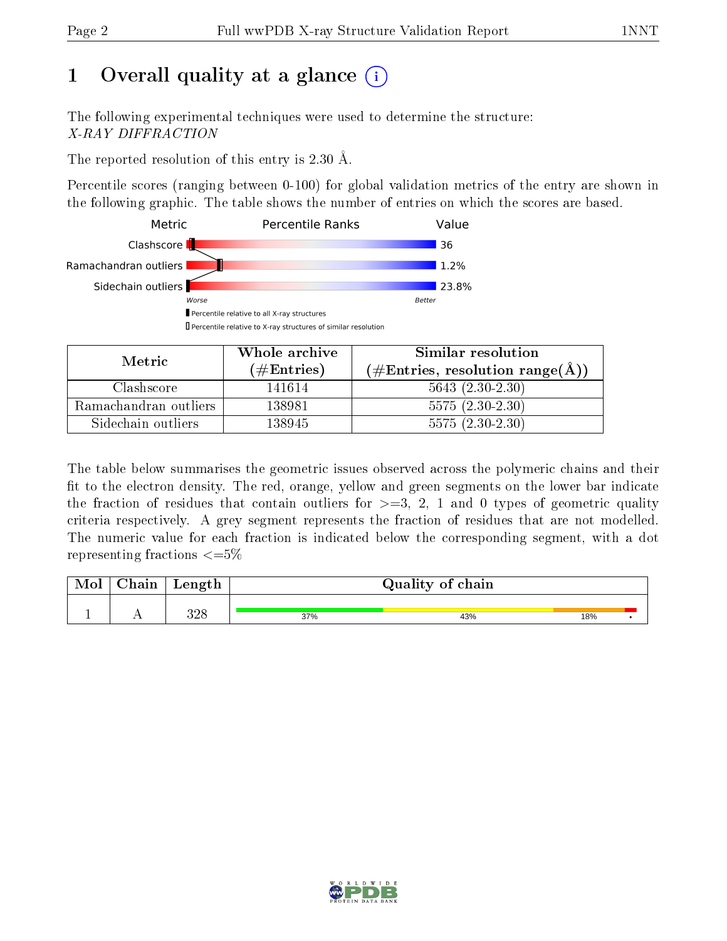# 1 [O](https://www.wwpdb.org/validation/2017/XrayValidationReportHelp#overall_quality)verall quality at a glance  $(i)$

The following experimental techniques were used to determine the structure: X-RAY DIFFRACTION

The reported resolution of this entry is 2.30 Å.

Percentile scores (ranging between 0-100) for global validation metrics of the entry are shown in the following graphic. The table shows the number of entries on which the scores are based.



| Metric.               | Whole archive       | Similar resolution                                 |
|-----------------------|---------------------|----------------------------------------------------|
|                       | (# $\rm{Entries}$ ) | $(\text{\#Entries, resolution range}(\text{\AA}))$ |
| Clashscore            | 141614              | $5643(2.30-2.30)$                                  |
| Ramachandran outliers | 138981              | $5575(2.30-2.30)$                                  |
| Sidechain outliers    | 138945              | $5575(2.30-2.30)$                                  |

The table below summarises the geometric issues observed across the polymeric chains and their fit to the electron density. The red, orange, yellow and green segments on the lower bar indicate the fraction of residues that contain outliers for  $\geq=3$ , 2, 1 and 0 types of geometric quality criteria respectively. A grey segment represents the fraction of residues that are not modelled. The numeric value for each fraction is indicated below the corresponding segment, with a dot representing fractions  $\epsilon = 5\%$ 

| Mol | Chain | Length     |     | Quality of chain |     |  |  |  |  |
|-----|-------|------------|-----|------------------|-----|--|--|--|--|
|     |       |            |     |                  |     |  |  |  |  |
|     |       | 290<br>ت⊿ت | 37% | 43%              | 18% |  |  |  |  |

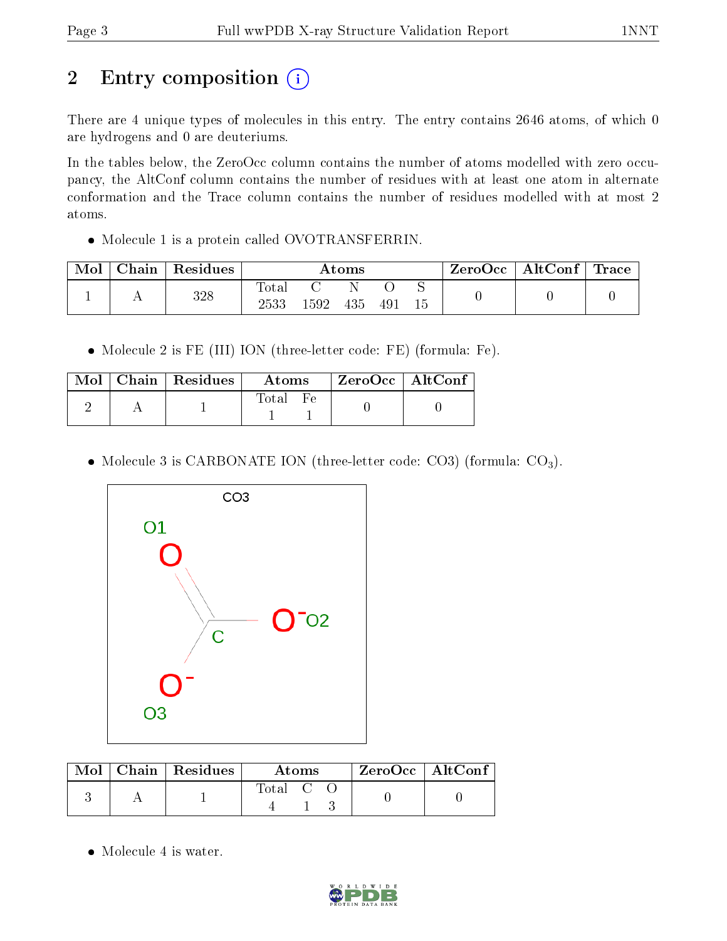# 2 Entry composition (i)

There are 4 unique types of molecules in this entry. The entry contains 2646 atoms, of which 0 are hydrogens and 0 are deuteriums.

In the tables below, the ZeroOcc column contains the number of atoms modelled with zero occupancy, the AltConf column contains the number of residues with at least one atom in alternate conformation and the Trace column contains the number of residues modelled with at most 2 atoms.

Molecule 1 is a protein called OVOTRANSFERRIN.

| Mol | Chain | Residues | Atoms                  |      |     |     | ZeroOcc | $\mid$ AltConf $\mid$ Trace |  |  |
|-----|-------|----------|------------------------|------|-----|-----|---------|-----------------------------|--|--|
|     |       | 328      | $_{\rm Total}$<br>2533 | 1592 | 435 | 491 | 15      |                             |  |  |

Molecule 2 is FE (III) ION (three-letter code: FE) (formula: Fe).

| Mol . | $\pm$ Chain $\pm$ Residues $^+$ | Atoms | ZeroOcc   AltConf |  |
|-------|---------------------------------|-------|-------------------|--|
|       |                                 | Total |                   |  |

• Molecule 3 is CARBONATE ION (three-letter code: CO3) (formula:  $CO<sub>3</sub>$ ).



|  | $Mol$   Chain   Residues | Atoms   |  |  | $\rm ZeroOcc$   Alt $\rm Conf$ |  |
|--|--------------------------|---------|--|--|--------------------------------|--|
|  |                          | Total C |  |  |                                |  |

• Molecule 4 is water.

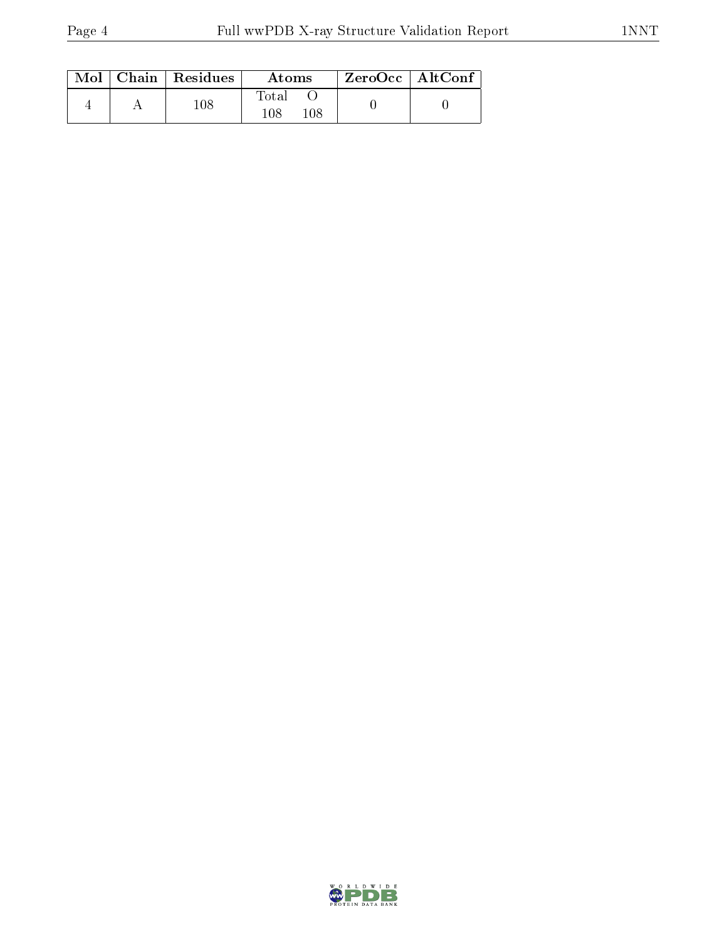|  | $\text{Mol}$   Chain   Residues | Atoms                   | ZeroOcc   AltConf |  |
|--|---------------------------------|-------------------------|-------------------|--|
|  | $108\,$                         | Total<br>$108\,$<br>108 |                   |  |

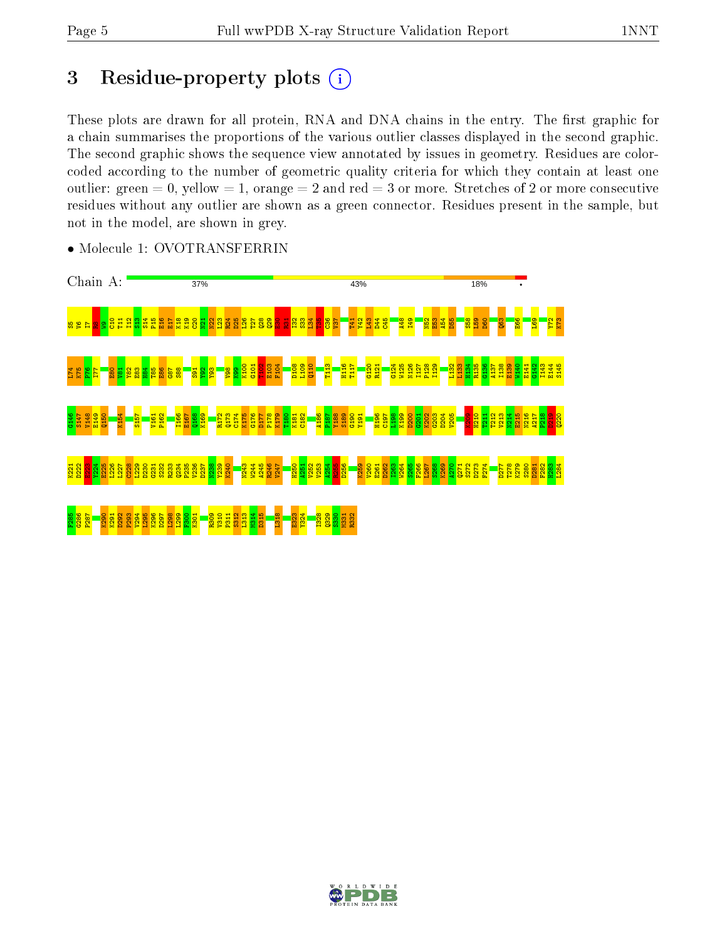# 3 Residue-property plots  $(i)$

These plots are drawn for all protein, RNA and DNA chains in the entry. The first graphic for a chain summarises the proportions of the various outlier classes displayed in the second graphic. The second graphic shows the sequence view annotated by issues in geometry. Residues are colorcoded according to the number of geometric quality criteria for which they contain at least one outlier: green  $= 0$ , yellow  $= 1$ , orange  $= 2$  and red  $= 3$  or more. Stretches of 2 or more consecutive residues without any outlier are shown as a green connector. Residues present in the sample, but not in the model, are shown in grey.



• Molecule 1: OVOTRANSFERRIN

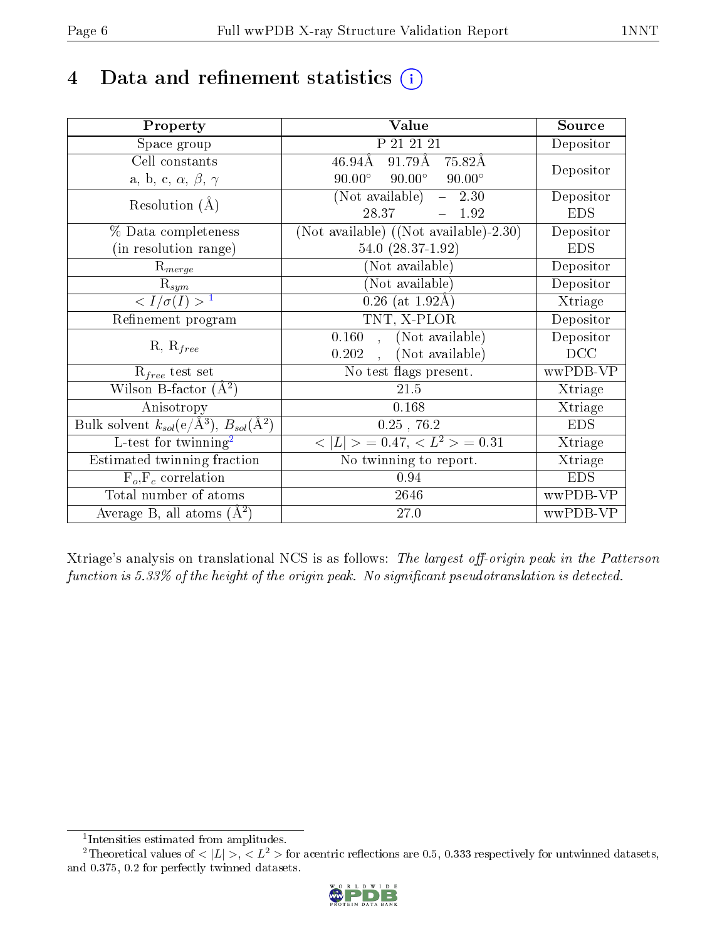# 4 Data and refinement statistics  $(i)$

| Property                                                             | Value                                           | Source                       |
|----------------------------------------------------------------------|-------------------------------------------------|------------------------------|
| Space group                                                          | P 21 21 21                                      | Depositor                    |
| Cell constants                                                       | $91.79\text{\AA}$<br>$46.94\rm\AA$<br>75.82Å    | Depositor                    |
| a, b, c, $\alpha$ , $\beta$ , $\gamma$                               | $90.00^\circ$<br>$90.00^\circ$<br>$90.00^\circ$ |                              |
| Resolution $(A)$                                                     | (Not available)<br>$-2.30$                      | Depositor                    |
|                                                                      | 28.37<br>1.92                                   | <b>EDS</b>                   |
| % Data completeness                                                  | (Not available) $((Not available)-2.30)$        | Depositor                    |
| (in resolution range)                                                | 54.0 $(28.37-1.92)$                             | <b>EDS</b>                   |
| $R_{merge}$                                                          | (Not available)                                 | Depositor                    |
| $\mathrm{R}_{sym}$                                                   | (Not available)                                 | Depositor                    |
| $\langle I/\sigma(I) \rangle^{-1}$                                   | $0.26$ (at 1.92Å)                               | Xtriage                      |
| Refinement program                                                   | TNT, X-PLOR                                     | Depositor                    |
|                                                                      | , (Not available)<br>0.160                      | Depositor                    |
| $R, R_{free}$                                                        | , (Not available)<br>0.202                      | DCC                          |
| $R_{free}$ test set                                                  | No test flags present.                          | wwPDB-VP                     |
| Wilson B-factor $(\overline{A}^2)$                                   | $21.5\,$                                        | Xtriage                      |
| Anisotropy                                                           | 0.168                                           | Xtriage                      |
| Bulk solvent $k_{sol}(e/\mathring{A}^3)$ , $B_{sol}(\mathring{A}^2)$ | $0.25$ , 76.2                                   | <b>EDS</b>                   |
| L-test for $\text{twinning}^2$                                       | $< L >$ = 0.47, $< L2 >$ = 0.31                 | $\overline{\text{X}}$ triage |
| Estimated twinning fraction                                          | No twinning to report.                          | Xtriage                      |
| $F_o, F_c$ correlation                                               | 0.94                                            | <b>EDS</b>                   |
| Total number of atoms                                                | 2646                                            | wwPDB-VP                     |
| Average B, all atoms $(A^2)$                                         | 27.0                                            | wwPDB-VP                     |

Xtriage's analysis on translational NCS is as follows: The largest off-origin peak in the Patterson function is  $5.33\%$  of the height of the origin peak. No significant pseudotranslation is detected.

<sup>&</sup>lt;sup>2</sup>Theoretical values of  $\langle |L| \rangle$ ,  $\langle L^2 \rangle$  for acentric reflections are 0.5, 0.333 respectively for untwinned datasets, and 0.375, 0.2 for perfectly twinned datasets.



<span id="page-5-1"></span><span id="page-5-0"></span><sup>1</sup> Intensities estimated from amplitudes.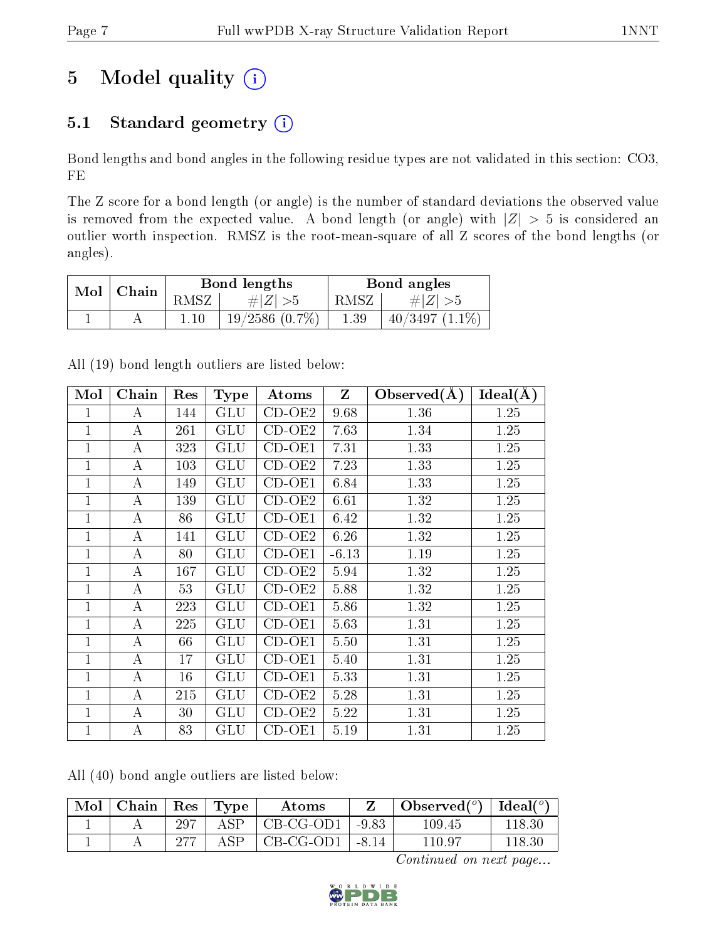# 5 Model quality  $(i)$

# 5.1 Standard geometry  $(i)$

Bond lengths and bond angles in the following residue types are not validated in this section: CO3, FE

The Z score for a bond length (or angle) is the number of standard deviations the observed value is removed from the expected value. A bond length (or angle) with  $|Z| > 5$  is considered an outlier worth inspection. RMSZ is the root-mean-square of all Z scores of the bond lengths (or angles).

| Mol | Chain |      | Bond lengths        | Bond angles |                  |  |
|-----|-------|------|---------------------|-------------|------------------|--|
|     |       | RMSZ | $\# Z  > 5$         | RMSZ        | # $ Z  > 5$      |  |
|     |       |      | $19/2586$ $(0.7\%)$ | $1.39\,$    | $40/3497(1.1\%)$ |  |

All (19) bond length outliers are listed below:

| Mol            | Chain            | Res | <b>Type</b>  | Atoms    | $\mathbf{Z}$ | Observed $(A)$ | $\overline{\text{Ideal}}(\AA)$ |
|----------------|------------------|-----|--------------|----------|--------------|----------------|--------------------------------|
| 1              | A                | 144 | <b>GLU</b>   | $CD-OE2$ | 9.68         | 1.36           | 1.25                           |
| $\mathbf 1$    | $\boldsymbol{A}$ | 261 | GLU          | $CD-OE2$ | 7.63         | 1.34           | 1.25                           |
| 1              | A                | 323 | GLU          | $CD-OE1$ | 7.31         | 1.33           | 1.25                           |
| $\overline{1}$ | $\boldsymbol{A}$ | 103 | <b>GLU</b>   | $CD-OE2$ | 7.23         | 1.33           | 1.25                           |
| 1              | $\bf{A}$         | 149 | GLU          | $CD-OE1$ | 6.84         | 1.33           | 1.25                           |
| 1              | A                | 139 | GLU          | $CD-OE2$ | 6.61         | 1.32           | 1.25                           |
| $\mathbf{1}$   | $\bf{A}$         | 86  | <b>GLU</b>   | $CD-OE1$ | 6.42         | 1.32           | 1.25                           |
| $\overline{1}$ | $\boldsymbol{A}$ | 141 | <b>GLU</b>   | $CD-OE2$ | 6.26         | 1.32           | 1.25                           |
| 1              | A                | 80  | GLU          | $CD-OE1$ | $-6.13$      | 1.19           | 1.25                           |
| 1              | A                | 167 | <b>GLU</b>   | $CD-OE2$ | 5.94         | 1.32           | 1.25                           |
| 1              | $\boldsymbol{A}$ | 53  | GLU          | $CD-OE2$ | 5.88         | 1.32           | 1.25                           |
| $\mathbf 1$    | A                | 223 | GLU          | $CD-OE1$ | 5.86         | 1.32           | 1.25                           |
| $\mathbf 1$    | A                | 225 | GLU          | $CD-OE1$ | 5.63         | 1.31           | 1.25                           |
| 1              | $\boldsymbol{A}$ | 66  | GLU          | $CD-OE1$ | 5.50         | 1.31           | $1.25\,$                       |
| 1              | A                | 17  | <b>GLU</b>   | $CD-OE1$ | 5.40         | 1.31           | 1.25                           |
| 1              | $\bf{A}$         | 16  | GLU          | $CD-OE1$ | 5.33         | 1.31           | 1.25                           |
| 1              | $\bf{A}$         | 215 | GLU          | $CD-OE2$ | 5.28         | 1.31           | 1.25                           |
| 1              | А                | 30  | GLU          | $CD-OE2$ | 5.22         | 1.31           | 1.25                           |
| 1              | А                | 83  | $_{\rm GLU}$ | CD-OE1   | 5.19         | 1.31           | 1.25                           |

All (40) bond angle outliers are listed below:

| Mol | Chain |     | $\vert$ Res $\vert$ Type | Atoms                         |         | Observed $(^\circ)$ | Ideal $(°)$ |
|-----|-------|-----|--------------------------|-------------------------------|---------|---------------------|-------------|
|     |       | 297 | ASP.                     | CB-CG-OD1                     | $-9.83$ | 109.45              | 118.30      |
|     |       | 277 | ASP.                     | $\mid$ CB-CG-OD1 $\mid$ -8.14 |         | 110.97              | 118.30      |

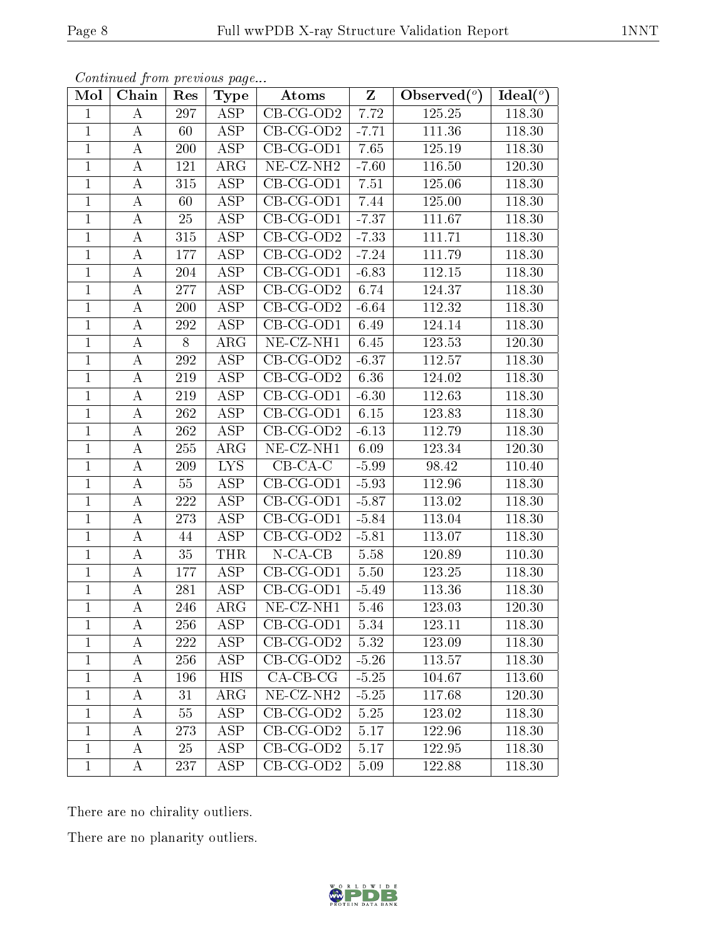| Mol          | Chain            | Res | Type                    | Atoms                          | $\mathbf{Z}$ | Observed $(°)$ | Ideal $(°)$ |
|--------------|------------------|-----|-------------------------|--------------------------------|--------------|----------------|-------------|
| $\mathbf{1}$ | Α                | 297 | ASP                     | $CB-CG-OD2$                    | 7.72         | 125.25         | 118.30      |
| $\mathbf{1}$ | A                | 60  | ASP                     | $\overline{CB}$ -CG-OD2        | $-7.71$      | 111.36         | 118.30      |
| $\mathbf{1}$ | $\bf{A}$         | 200 | $\overline{\text{ASP}}$ | $CB-CG-OD1$                    | 7.65         | 125.19         | 118.30      |
| $\mathbf{1}$ | A                | 121 | $\rm{ARG}$              | $\overline{\text{NE}}$ -CZ-NH2 | $-7.60$      | 116.50         | 120.30      |
| $\mathbf{1}$ | А                | 315 | $\overline{\text{ASP}}$ | $CB-CG-OD1$                    | 7.51         | 125.06         | 118.30      |
| $\mathbf{1}$ | A                | 60  | ASP                     | $CB-CG-OD1$                    | 7.44         | 125.00         | 118.30      |
| $\mathbf{1}$ | $\boldsymbol{A}$ | 25  | ASP                     | $CB-CG-OD1$                    | $-7.37$      | 111.67         | 118.30      |
| $\mathbf{1}$ | A                | 315 | ASP                     | $CB-CG-OD2$                    | $-7.33$      | 111.71         | 118.30      |
| $\mathbf{1}$ | A                | 177 | ASP                     | $CB-CG-OD2$                    | $-7.24$      | 111.79         | 118.30      |
| $\mathbf{1}$ | А                | 204 | ASP                     | $CB-CG-OD1$                    | $-6.83$      | 112.15         | 118.30      |
| $\mathbf{1}$ | A                | 277 | ASP                     | $CB-CG-OD2$                    | 6.74         | 124.37         | 118.30      |
| $\mathbf{1}$ | A                | 200 | ASP                     | $\overline{\text{CB-CG-OD2}}$  | $-6.64$      | 112.32         | 118.30      |
| $\mathbf{1}$ | A                | 292 | ASP                     | $CB-CG-OD1$                    | 6.49         | 124.14         | 118.30      |
| $\mathbf{1}$ | $\boldsymbol{A}$ | 8   | $\rm{ARG}$              | NE-CZ-NH1                      | 6.45         | 123.53         | 120.30      |
| $\mathbf{1}$ | $\boldsymbol{A}$ | 292 | $\overline{\text{ASP}}$ | $CB-CG-OD2$                    | $-6.37$      | 112.57         | 118.30      |
| $\mathbf{1}$ | $\boldsymbol{A}$ | 219 | <b>ASP</b>              | $CB-CG-OD2$                    | 6.36         | 124.02         | 118.30      |
| $\mathbf{1}$ | А                | 219 | ASP                     | $CB-CG-OD1$                    | $-6.30$      | 112.63         | 118.30      |
| $\mathbf{1}$ | A                | 262 | ASP                     | $CB-CG-OD1$                    | 6.15         | 123.83         | 118.30      |
| $\mathbf{1}$ | $\boldsymbol{A}$ | 262 | <b>ASP</b>              | $CB-CG-OD2$                    | $-6.13$      | 112.79         | 118.30      |
| $\mathbf{1}$ | $\boldsymbol{A}$ | 255 | $\rm{ARG}$              | NE-CZ-NH1                      | 6.09         | 123.34         | 120.30      |
| $\mathbf{1}$ | A                | 209 | <b>LYS</b>              | $CB-CA-C$                      | $-5.99$      | 98.42          | 110.40      |
| $\mathbf{1}$ | $\boldsymbol{A}$ | 55  | $\overline{\text{ASP}}$ | $CB-CG-OD1$                    | $-5.93$      | 112.96         | 118.30      |
| $\mathbf{1}$ | A                | 222 | ASP                     | $CB-CG-OD1$                    | $-5.87$      | 113.02         | 118.30      |
| $\mathbf{1}$ | А                | 273 | ASP                     | $CB-CG-OD1$                    | $-5.84$      | 113.04         | 118.30      |
| $\mathbf{1}$ | A                | 44  | ASP                     | $CB-CG-OD2$                    | $-5.81$      | 113.07         | 118.30      |
| $\mathbf{1}$ | $\boldsymbol{A}$ | 35  | <b>THR</b>              | $N$ -CA-CB                     | 5.58         | 120.89         | 110.30      |
| $\mathbf{1}$ | A                | 177 | ASP                     | $CB-CG-OD1$                    | 5.50         | 123.25         | 118.30      |
| $\mathbf{1}$ | A                | 281 | <b>ASP</b>              | $CB-CG-OD1$                    | $-5.49$      | 113.36         | 118.30      |
| $\mathbf{1}$ | А                | 246 | $\rm{ARG}$              | $NE$ - $CZ$ - $NH1$            | 5.46         | 123.03         | 120.30      |
| $\perp$      | А                | 256 | ASP                     | $CB-CG-OD1$                    | 5.34         | 123.11         | 118.30      |
| $\mathbf 1$  | A                | 222 | ASP                     | $CB-CG-OD2$                    | 5.32         | 123.09         | 118.30      |
| $\mathbf{1}$ | A                | 256 | ASP                     | $CB-CG-OD2$                    | $-5.26$      | 113.57         | 118.30      |
| $\mathbf{1}$ | A                | 196 | HIS                     | $CA-CB-CG$                     | $-5.25$      | 104.67         | 113.60      |
| $\mathbf{1}$ | A                | 31  | $\rm{ARG}$              | NE-CZ-NH <sub>2</sub>          | $-5.25$      | 117.68         | 120.30      |
| $\mathbf{1}$ | A                | 55  | ASP                     | $CB-CG-OD2$                    | 5.25         | 123.02         | 118.30      |
| $\mathbf 1$  | A                | 273 | ASP                     | $CB-CG-OD2$                    | 5.17         | 122.96         | 118.30      |
| $\mathbf{1}$ | A                | 25  | ASP                     | $CB-CG-OD2$                    | 5.17         | 122.95         | 118.30      |
| $\mathbf 1$  | A                | 237 | ASP                     | $CB-CG-OD2$                    | 5.09         | 122.88         | 118.30      |

There are no chirality outliers.

There are no planarity outliers.

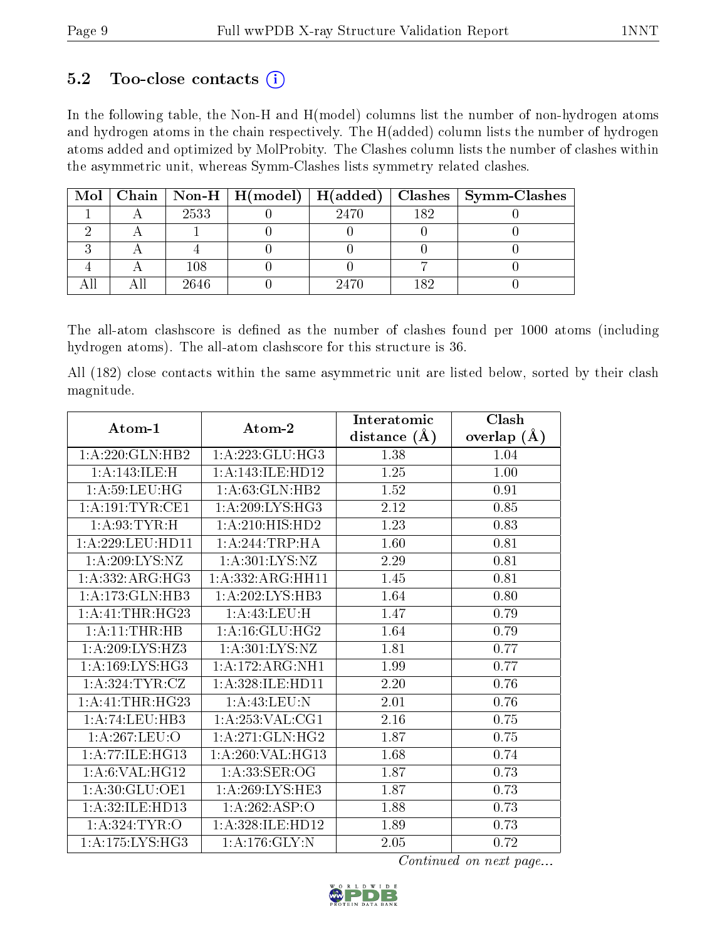## 5.2 Too-close contacts  $(i)$

In the following table, the Non-H and H(model) columns list the number of non-hydrogen atoms and hydrogen atoms in the chain respectively. The H(added) column lists the number of hydrogen atoms added and optimized by MolProbity. The Clashes column lists the number of clashes within the asymmetric unit, whereas Symm-Clashes lists symmetry related clashes.

| $Mol \mid$ |      |      |     | Chain   Non-H   H(model)   H(added)   Clashes   Symm-Clashes |
|------------|------|------|-----|--------------------------------------------------------------|
|            | 2533 | 2470 | 182 |                                                              |
|            |      |      |     |                                                              |
|            |      |      |     |                                                              |
|            | 108  |      |     |                                                              |
|            | 2646 | 2470 | 182 |                                                              |

The all-atom clashscore is defined as the number of clashes found per 1000 atoms (including hydrogen atoms). The all-atom clashscore for this structure is 36.

All (182) close contacts within the same asymmetric unit are listed below, sorted by their clash magnitude.

| Atom-1              | Atom-2                       | Interatomic    | Clash         |
|---------------------|------------------------------|----------------|---------------|
|                     |                              | distance $(A)$ | overlap $(A)$ |
| 1:A:220:GLN:HB2     | 1:A:223:GLU:HG3              | 1.38           | 1.04          |
| 1:A:143:ILE:H       | 1:A:143:ILE:HD12             | 1.25           | 1.00          |
| 1: A:59:LEU:HG      | 1:A:63:GLN:HB2               | 1.52           | 0.91          |
| 1: A:191:TYR:CE1    | 1: A:209: LYS: HG3           | 2.12           | 0.85          |
| 1: A:93:TYR:H       | 1:A:210:HIS:HD2              | 1.23           | 0.83          |
| 1: A:229:LEU:HD11   | 1: A:244:TRP:HA              | 1.60           | 0.81          |
| 1:A:209:LYS:NZ      | 1: A:301: LYS: NZ            | 2.29           | 0.81          |
| 1:A:332:ARG:HG3     | 1:A:332:ARG:HH11             | 1.45           | 0.81          |
| 1:A:173:GLN:HB3     | 1:A:202:LYS:HB3              | 1.64           | 0.80          |
| 1: A:41:THR:HG23    | 1:A:43:LEU:H                 | 1.47           | 0.79          |
| 1: A:11:THR:HB      | 1: A:16: GLU: HG2            | 1.64           | 0.79          |
| 1: A:209:LYS:HZ3    | 1: A:301: LYS: NZ            | 1.81           | 0.77          |
| 1: A: 169: LYS: HG3 | 1:A:172:ARG:NH1              | 1.99           | 0.77          |
| 1: A:324:TYR:CZ     | 1:A:328:ILE:HD11             | 2.20           | 0.76          |
| 1: A: 41: THR: HG23 | 1: A: 43: LEU: N             | 2.01           | 0.76          |
| 1:A:74:LEU:HB3      | 1: A:253: VAL:CG1            | 2.16           | 0.75          |
| 1:A:267:LEU:O       | $1:A:271:GLN:H\overline{G2}$ | 1.87           | 0.75          |
| 1:A:77:ILE:HG13     | 1:A:260:VAL:HG13             | 1.68           | 0.74          |
| 1:A:6:VAL:HG12      | 1: A:33: SER:OG              | 1.87           | 0.73          |
| 1: A:30: GLU:OE1    | 1:A:269:LYS:HE3              | 1.87           | 0.73          |
| 1: A:32: ILE: HD13  | 1:A:262:ASP:O                | 1.88           | 0.73          |
| 1: A:324:TYR:O      | 1:A:328:ILE:HD12             | 1.89           | 0.73          |
| 1:A:175:LYS:HG3     | 1:A:176:GLY:N                | 2.05           | 0.72          |

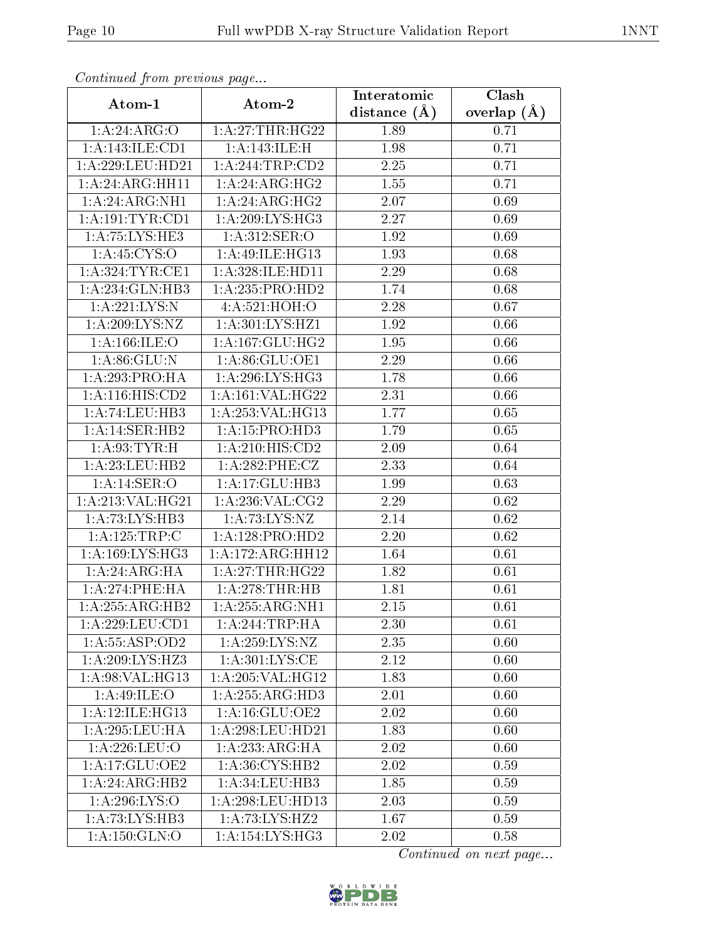| Continuea from previous page |                                     | Clash<br>Interatomic |               |  |
|------------------------------|-------------------------------------|----------------------|---------------|--|
| Atom-1                       | Atom-2                              | distance $(A)$       | overlap $(A)$ |  |
| 1:A:24:ARG:O                 | 1: A:27:THR:HG22                    | 1.89                 | 0.71          |  |
| 1:A:143:ILE:CD1              | 1:A:143:ILE:H                       | 1.98                 | 0.71          |  |
| 1: A:229:LEU:HD21            | 1: A:244:TRP:CD2                    | 2.25                 | 0.71          |  |
| 1:A:24:ARG:HH11              | 1: A:24: ARG:HG2                    | 1.55                 | 0.71          |  |
| 1:A:24:ARG:NH1               | 1: A:24: ARG: HG2                   | 2.07                 | 0.69          |  |
| 1: A: 191: TYR: CD1          | 1:A:209:LYS:HG3                     | 2.27                 | 0.69          |  |
| 1:A:75:LYS:HE3               | 1: A:312: SER:O                     | $1.92\,$             | 0.69          |  |
| 1: A:45: CYS:O               | 1:A:49:ILE:HG13                     | 1.93                 | 0.68          |  |
| 1: A:324:TYR:CE1             | 1:A:328:ILE:HD11                    | 2.29                 | 0.68          |  |
| 1:A:234:GLN:HB3              | 1:A:235:PRO:HD2                     | 1.74                 | 0.68          |  |
| 1: A:221:LYS:N               | 4: A:521: HOH:O                     | 2.28                 | 0.67          |  |
| 1: A:209: LYS: NZ            | 1:A:301:LYS:HZ1                     | 1.92                 | 0.66          |  |
| 1: A: 166: ILE: O            | $1:A:167:\overline{GLU:HG2}$        | 1.95                 | 0.66          |  |
| 1: A:86: GLU:N               | 1: A:86: GLU:OE1                    | 2.29                 | 0.66          |  |
| 1:A:293:PRO:HA               | 1:A:296:LYS:HG3                     | 1.78                 | 0.66          |  |
| 1:A:116:HIS:CD2              | 1:A:161:VAL:HG22                    | 2.31                 | 0.66          |  |
| 1:A:74:LEU:HB3               | 1:A:253:VAL:HG13                    | 1.77                 | 0.65          |  |
| 1:A:14:SER:HB2               | 1:A:15:PRO:HD3                      | 1.79                 | 0.65          |  |
| 1: A:93:TYR:H                | 1:A:210:HIS:CD2                     | 2.09                 | 0.64          |  |
| 1:A:23:LEU:HB2               | 1:A:282:PHE:CZ                      | 2.33                 | 0.64          |  |
| 1: A:14: SER:O               | 1:A:17:GLU:HB3                      | 1.99                 | 0.63          |  |
| 1:A:213:VAL:HG21             | 1: A:236: VAL: CG2                  | 2.29                 | 0.62          |  |
| 1:A:73:LYS:HB3               | 1: A: 73: LYS: NZ                   | 2.14                 | 0.62          |  |
| 1:A:125:TRP:C                | 1:A:128:PRO:HD2                     | 2.20                 | 0.62          |  |
| 1:A:169:LYS:HG3              | 1:A:172:ARG:HH12                    | 1.64                 | 0.61          |  |
| 1: A:24: ARG:HA              | 1:A:27:THR:HG22                     | 1.82                 | 0.61          |  |
| 1: A:274:PHE:HA              | 1:A:278:THR:HB                      | 1.81                 | 0.61          |  |
| 1:A:255:ARG:HB2              | 1:A:255:ARG:NH1                     | 2.15                 | 0.61          |  |
| 1: A:229:LEU:CD1             | 1: A:244:TRP:HA                     | 2.30                 | 0.61          |  |
| 1:A:55:ASP:OD2               | 1: A: 259: LYS: NZ                  | 2.35                 | 0.60          |  |
| 1: A:209: LYS: HZ3           | 1: A:301:LYS:CE                     | 2.12                 | 0.60          |  |
| 1: A:98: VAL: HG13           | 1: A:205: VAL:HG12                  | 1.83                 | 0.60          |  |
| 1: A:49: ILE: O              | 1:A:255:ARG:HD3                     | 2.01                 | 0.60          |  |
| 1:A:12:ILE:HG13              | 1:A:16:GLU:OE2                      | 2.02                 | 0.60          |  |
| 1: A:295:LEU:HA              | 1: A:298:LEU:HD21                   | 1.83                 | 0.60          |  |
| 1: A:226:LEU:O               | 1:A:233:ARG:HA                      | 2.02                 | 0.60          |  |
| 1:A:17:GLU:OE2               | 1:A:36:CYS:HB2                      | 2.02                 | 0.59          |  |
| 1:A:24:ARG:HB2               | 1: A:34:LEU:HB3                     | 1.85                 | 0.59          |  |
| 1:A:296:LYS:O                | 1: A:298:LEU:HD13                   | 2.03                 | 0.59          |  |
| 1:A:73:LYS:HB3               | 1: A: 73: LYS: HZ2                  | 1.67                 | 0.59          |  |
| 1:A:150:GLN:O                | $1:A:154:\overline{\text{LYS:HG3}}$ | 2.02                 | 0.58          |  |

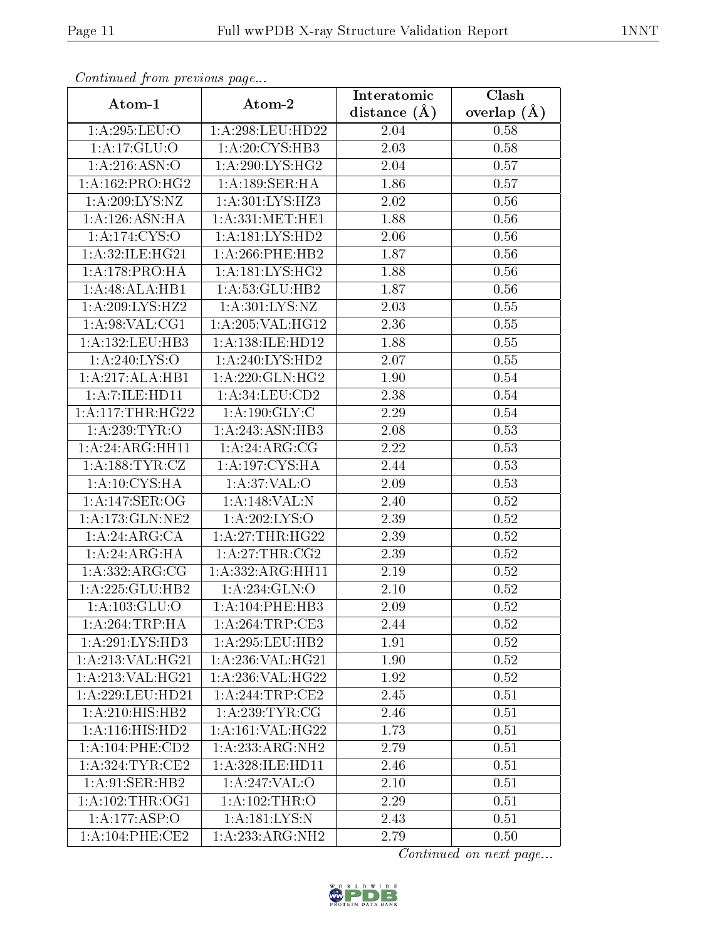| Continuea from previous page |                              | Interatomic       | Clash             |
|------------------------------|------------------------------|-------------------|-------------------|
| Atom-1                       | Atom-2                       | distance $(\AA)$  | overlap $(A)$     |
| 1:A:295:LEU:O                | 1:A:298:LEU:HD22             | 2.04              | 0.58              |
| 1:A:17:GLU:O                 | 1:A:20:CYS:HB3               | 2.03              | 0.58              |
| 1: A:216: ASN:O              | 1: A:290: LYS: HG2           | 2.04              | 0.57              |
| 1: A: 162: PRO:HG2           | 1:A:189:SER:HA               | 1.86              | 0.57              |
| 1:A:209:LYS:NZ               | 1:A:301:LYS:HZ3              | 2.02              | 0.56              |
| 1: A: 126: ASN: HA           | 1: A: 331: MET: HE1          | 1.88              | 0.56              |
| 1: A:174: CYS:O              | 1: A: 181: LYS: HD2          | 2.06              | 0.56              |
| 1: A:32: ILE: HG21           | 1: A:266:PHE:HB2             | 1.87              | 0.56              |
| 1:A:178:PRO:HA               | 1: A:181:LYS:HG2             | 1.88              | 0.56              |
| 1:A:48:ALA:HB1               | 1: A:53: GLU:HB2             | 1.87              | 0.56              |
| 1: A:209: LYS: HZ2           | 1: A:301: LYS: NZ            | 2.03              | 0.55              |
| 1: A:98: VAL:CG1             | 1:A:205:VAL:HG12             | 2.36              | 0.55              |
| 1:A:132:LEU:HB3              | 1:A:138:ILE:HD12             | 1.88              | 0.55              |
| 1:A:240:LYS:O                | 1: A:240: LYS: HD2           | 2.07              | 0.55              |
| 1:A:217:ALA:HB1              | 1:A:220:GLN:HG2              | 1.90              | 0.54              |
| 1: A: 7: ILE: HD11           | 1: A:34:LEU:CD2              | 2.38              | 0.54              |
| 1:A:117:THR:HG22             | 1: A: 190: GLY: C            | 2.29              | 0.54              |
| 1: A:239:TYR:O               | 1:A:243:ASN:HB3              | 2.08              | 0.53              |
| 1:A:24:ARG:HH11              | 1: A:24:ARG:CG               | $\overline{2.22}$ | 0.53              |
| 1: A: 188: TYR: CZ           | 1: A: 197: CYS: HA           | 2.44              | 0.53              |
| 1:A:10:CYS:HA                | 1: A:37: VAL:O               | 2.09              | 0.53              |
| 1:A:147:SER:OG               | 1:A:148:VAL:N                | 2.40              | 0.52              |
| 1:A:173:GLN:NE2              | 1:A:202:LYS:O                | 2.39              | 0.52              |
| 1:A:24:ARG:CA                | 1: A:27:THR:HG22             | 2.39              | 0.52              |
| 1: A:24: ARG:HA              | 1: A:27:THR:CG2              | 2.39              | $0.52\,$          |
| 1: A: 332: ARG: CG           | 1:A:332:ARG:HH11             | 2.19              | 0.52              |
| 1:A:225:GLU:HB2              | 1: A:234: GLN:O              | 2.10              | 0.52              |
| 1: A: 103: GLU:O             | 1:A:104:PHE:HB3              | 2.09              | $\overline{0.52}$ |
| 1: A:264:TRP:HA              | 1: A:264:TRP:CE3             | 2.44              | 0.52              |
| 1:A:291:LYS:HD3              | 1:A:295:LEU:HB2              | 1.91              | 0.52              |
| 1: A:213: VAL:HG21           | 1: A:236: VAL:HG21           | 1.90              | 0.52              |
| 1:A:213:VAL:HG21             | 1: A:236: VAL:HG22           | 1.92              | 0.52              |
| 1: A:229:LEU:HD21            | 1:A:244:TRP:CE2              | 2.45              | 0.51              |
| 1:A:210:HIS:HB2              | 1: A:239:TYR:CG              | 2.46              | 0.51              |
| 1: A:116: HIS: HD2           | 1:A:161:VAL:HG22             | 1.73              | 0.51              |
| 1: A: 104: PHE: CD2          | $1:A:233:ARG:\overline{N}H2$ | 2.79              | 0.51              |
| 1:A:324:TYR:CE2              | 1: A:328: ILE: HD11          | 2.46              | 0.51              |
| 1:A:91:SER:HB2               | 1:A:247:VAL:O                | 2.10              | 0.51              |
| 1: A:102:THR:OG1             | 1:A:102:THR:O                | 2.29              | 0.51              |
| 1:A:177:ASP:O                | 1:A:181:LYS:N                | 2.43              | 0.51              |
| 1: A:104:PHE:CE2             | 1:A:233:ARG:NH2              | 2.79              | 0.50              |

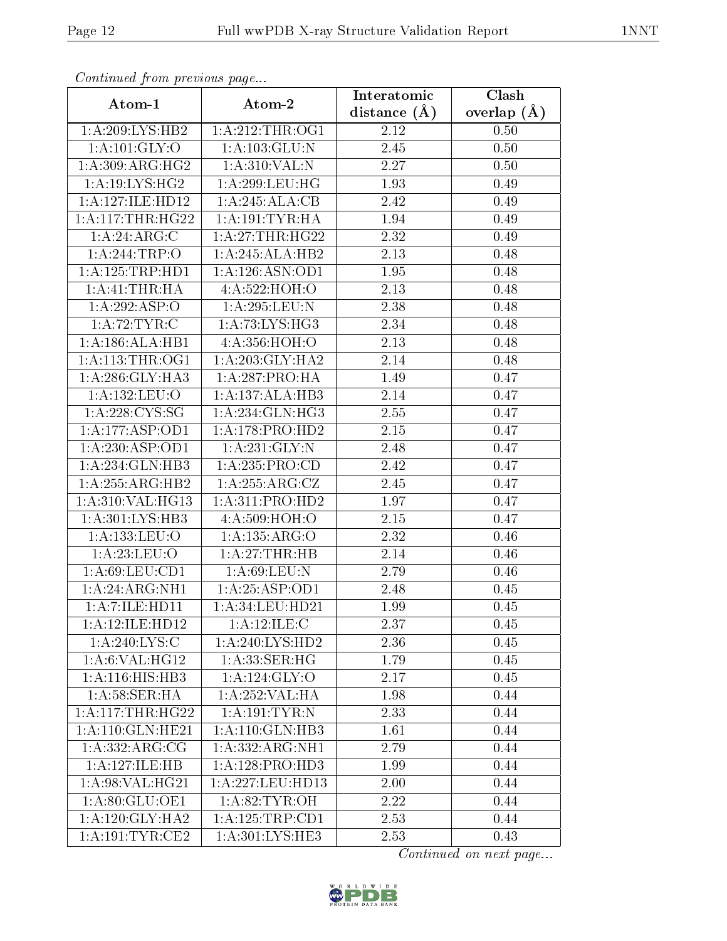| Communaca from previous page |                                | Interatomic    | Clash           |
|------------------------------|--------------------------------|----------------|-----------------|
| Atom-1                       | Atom-2                         | distance $(A)$ | overlap $(\AA)$ |
| 1:A:209:LYS:HB2              | 1: A:212:THR:OG1               | 2.12           | 0.50            |
| 1: A: 101: GLY: O            | 1:A:103:GLU:N                  | 2.45           | 0.50            |
| 1:A:309:ARG:HG2              | 1: A:310: VAL:N                | 2.27           | 0.50            |
| 1: A:19: LYS: HG2            | 1: A:299:LEU:HG                | 1.93           | 0.49            |
| 1:A:127:ILE:HD12             | 1:A:245:ALA:CB                 | 2.42           | 0.49            |
| 1: A:117:THR:HG22            | 1: A: 191: TYR: HA             | 1.94           | 0.49            |
| 1:A:24:ARG:C                 | 1: A:27:THR:HG22               | 2.32           | 0.49            |
| 1:A:244:TRP:O                | 1:A:245:ALA:HB2                | 2.13           | 0.48            |
| 1:A:125:TRP:HD1              | 1:A:126:ASN:OD1                | 1.95           | 0.48            |
| 1:A:41:THR:HA                | 4:A:522:HOH:O                  | 2.13           | 0.48            |
| 1:A:292:ASP:O                | 1:A:295:LEU:N                  | 2.38           | 0.48            |
| 1:A:72:TYR:C                 | 1: A:73: LYS: HG3              | 2.34           | 0.48            |
| 1:A:186:ALA:HB1              | 4:A:356:HOH:O                  | 2.13           | 0.48            |
| 1: A:113:THR:OG1             | 1:A:203:GLY:HA2                | 2.14           | 0.48            |
| 1: A:286: GLY:HA3            | 1:A:287:PRO:HA                 | 1.49           | 0.47            |
| 1:A:132:LEU:O                | 1:A:137:ALA:HB3                | 2.14           | 0.47            |
| 1: A:228:CYS:SG              | 1:A:234:GLN:HG3                | 2.55           | 0.47            |
| 1:A:177:ASP:OD1              | 1:A:178:PRO:HD2                | 2.15           | 0.47            |
| 1:A:230:ASP:OD1              | 1: A:231: GLY:N                | 2.48           | 0.47            |
| 1:A:234:GLN:HB3              | 1: A: 235: PRO:CD              | 2.42           | 0.47            |
| 1:A:255:ARG:HB2              | 1: A:255: ARG: CZ              | 2.45           | 0.47            |
| 1:A:310:VAL:HG13             | 1:A:311:PRO:HD2                | 1.97           | 0.47            |
| 1: A:301: LYS:HB3            | 4:A:509:HOH:O                  | 2.15           | 0.47            |
| 1:A:133:LEU:O                | 1:A:135:ARG:O                  | 2.32           | 0.46            |
| 1: A:23: LEU:O               | 1:A:27:THR:HB                  | 2.14           | 0.46            |
| 1: A:69: LEU:CD1             | 1: A:69:LEU:N                  | 2.79           | 0.46            |
| 1: A:24: ARG:NH1             | 1:A:25:ASP:OD1                 | 2.48           | 0.45            |
| 1: A: 7: ILE: HD11           | 1:A:34:LEU:HD21                | 1.99           | 0.45            |
| 1:A:12:ILE:HD12              | 1:A:12:ILE:C                   | 2.37           | 0.45            |
| 1:A:240:LYS:C                | 1:A:240:LYS:HD2                | 2.36           | 0.45            |
| 1: A:6: VAL:HG12             | 1: A: 33: SER: HG              | 1.79           | 0.45            |
| 1:A:116:HIS:HB3              | 1:A:124:GLY:O                  | 2.17           | 0.45            |
| 1: A:58: SER: HA             | 1:A:252:VAL:HA                 | 1.98           | 0.44            |
| 1: A:117:THR:HG22            | 1: A: 191: TYR: N              | 2.33           | 0.44            |
| 1:A:110:GLN:HE21             | 1: A:110: GLN:HB3              | 1.61           | 0.44            |
| 1: A: 332: ARG: CG           | 1:A:332:ARG:NH1                | 2.79           | 0.44            |
| 1:A:127:ILE:HB               | 1:A:128:PRO:HD3                | 1.99           | 0.44            |
| 1:A:98:VAL:HG21              | 1:A:227:LEU:HD13               | 2.00           | 0.44            |
| 1:A:80:GLU:OE1               | 1: A:82:TYR:OH                 | 2.22           | 0.44            |
| 1: A:120: GLY: HA2           | 1: A: 125: TRP: CD1            | 2.53           | 0.44            |
| 1: A:191:TYR:CE2             | $1: A:301: LY\overline{S:HE3}$ | 2.53           | 0.43            |

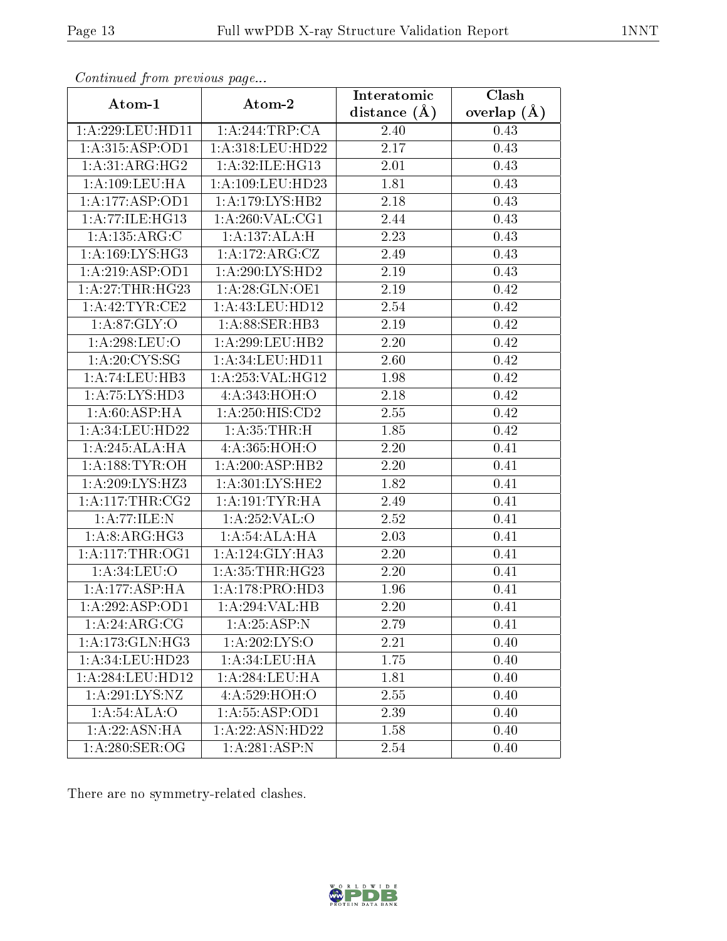| contentava promono ao pago<br>Atom-1 | Atom-2                       | Interatomic      | $\overline{\text{Clash}}$ |
|--------------------------------------|------------------------------|------------------|---------------------------|
|                                      |                              | distance $(\AA)$ | overlap $(\AA)$           |
| 1:A:229:LEU:HD11                     | 1:A:244:TRP:CA               | 2.40             | 0.43                      |
| 1: A:315: ASP:OD1                    | 1: A:318:LEU:HD22            | 2.17             | 0.43                      |
| 1:A:31:ARG:HG2                       | 1:A:32:ILE:HG13              | 2.01             | 0.43                      |
| $1:$ A:109:LEU:HA                    | 1: A: 109: LEU: HD23         | 1.81             | 0.43                      |
| 1:A:177:ASP:OD1                      | 1:A:179:LYS:HB2              | 2.18             | 0.43                      |
| 1:A:77:ILE:HG13                      | 1: A:260: VAL:CG1            | 2.44             | 0.43                      |
| 1:A:135:ARG:C                        | 1:A:137:ALA:H                | 2.23             | 0.43                      |
| 1: A: 169: LYS: HG3                  | 1: A:172:ARG:CZ              | 2.49             | 0.43                      |
| 1:A:219:ASP:OD1                      | 1: A:290: LYS: HD2           | 2.19             | 0.43                      |
| 1:A:27:THR:HG23                      | 1: A:28: GLN:OE1             | 2.19             | 0.42                      |
| 1: A:42:TYR:CE2                      | 1:A:43:LEU:HD12              | 2.54             | 0.42                      |
| 1: A:87: GLY:O                       | 1:A:88:SER:HB3               | 2.19             | 0.42                      |
| 1:A:298:LEU:O                        | 1: A:299:LEU:HB2             | 2.20             | 0.42                      |
| 1: A:20: CYS:SG                      | 1:A:34:LEU:HDI1              | 2.60             | 0.42                      |
| 1:A:74:LEU:HB3                       | 1: A: 253: VAL: HG12         | 1.98             | 0.42                      |
| 1: A: 75: LYS: HD3                   | 4:A:343:HOH:O                | 2.18             | 0.42                      |
| 1: A:60: ASP:HA                      | $1:A:250:\overline{HIS:CD2}$ | 2.55             | 0.42                      |
| 1: A:34:LEU:HD22                     | 1: A:35:THR:H                | 1.85             | 0.42                      |
| 1:A:245:ALA:HA                       | 4:A:365:HOH:O                | 2.20             | 0.41                      |
| 1: A:188: TYR:OH                     | 1:A:200:ASP:HB2              | 2.20             | 0.41                      |
| 1:A:209:LYS:HZ3                      | 1:A:301:LYS:HE2              | 1.82             | 0.41                      |
| 1: A:117:THR:CG2                     | 1: A:191:TYR:HA              | 2.49             | 0.41                      |
| 1:A:77:ILE:N                         | 1:A:252:VAL:O                | 2.52             | 0.41                      |
| $1:\overline{A:8:ARG:HG3}$           | 1:A:54:ALA:HA                | 2.03             | 0.41                      |
| 1: A:117:THR:OG1                     | 1:A:124:GLY:HA3              | 2.20             | 0.41                      |
| 1: A:34: LEU:O                       | 1: A:35:THR:HG23             | 2.20             | 0.41                      |
| 1: A:177: ASP:HA                     | 1: A:178: PRO:HD3            | 1.96             | 0.41                      |
| 1:A:292:ASP:OD1                      | 1:A:294:VAL:HB               | 2.20             | 0.41                      |
| 1:A:24:ARG:CG                        | 1: A:25:ASP:N                | 2.79             | 0.41                      |
| 1:A:173:GLN:HG3                      | 1:A:202:LYS:O                | 2.21             | 0.40                      |
| 1:A:34:LEU:HD23                      | 1: A:34:LEU:HA               | 1.75             | 0.40                      |
| 1:A:284:LEU:HD12                     | 1:A:284:LEU:HA               | 1.81             | 0.40                      |
| 1: A:291:LYS:NZ                      | 4:A:529:HOH:O                | 2.55             | 0.40                      |
| 1: A:54: ALA:O                       | 1: A: 55: ASP: OD1           | 2.39             | 0.40                      |
| 1: A:22: ASN:HA                      | 1:A:22:ASN:HD22              | 1.58             | 0.40                      |
| 1: A:280: SER:OG                     | 1:A:281:ASP:N                | 2.54             | 0.40                      |

There are no symmetry-related clashes.

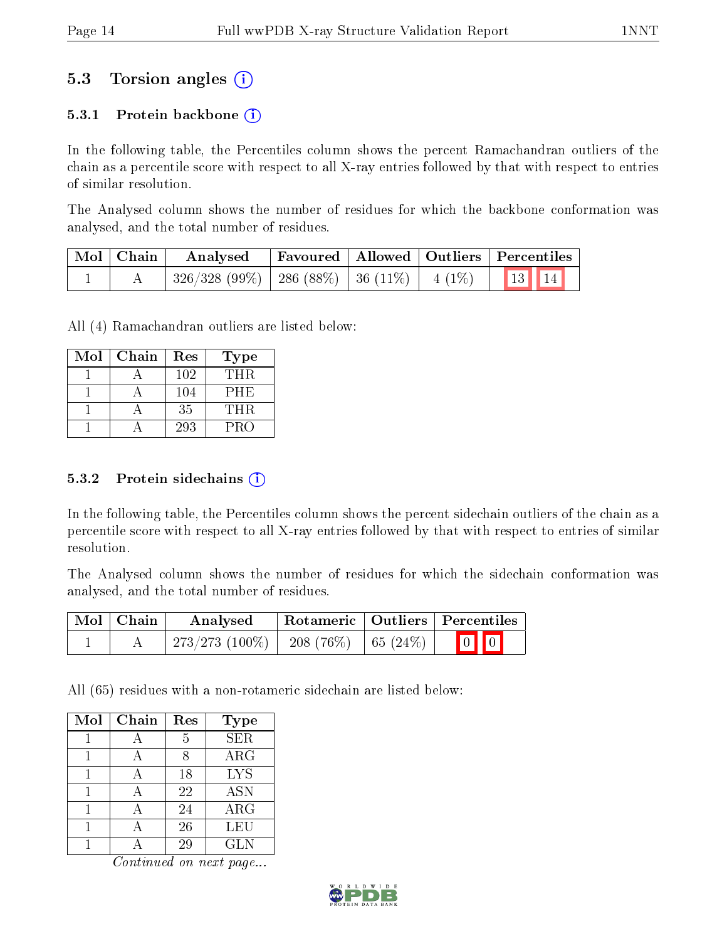## 5.3 Torsion angles (i)

#### 5.3.1 Protein backbone  $(i)$

In the following table, the Percentiles column shows the percent Ramachandran outliers of the chain as a percentile score with respect to all X-ray entries followed by that with respect to entries of similar resolution.

The Analysed column shows the number of residues for which the backbone conformation was analysed, and the total number of residues.

| Mol   Chain | Analysed                                                       |  | Favoured   Allowed   Outliers   Percentiles |
|-------------|----------------------------------------------------------------|--|---------------------------------------------|
|             | $\mid$ 326/328 (99%)   286 (88%)   36 (11%)   4 (1%)   13   14 |  |                                             |

All (4) Ramachandran outliers are listed below:

| Mol | Chain | Res | <b>Type</b> |
|-----|-------|-----|-------------|
|     |       | 102 | THR.        |
|     |       | 104 | PHE         |
|     |       | 35  | THR         |
|     |       | 293 | PRO         |

#### 5.3.2 Protein sidechains (i)

In the following table, the Percentiles column shows the percent sidechain outliers of the chain as a percentile score with respect to all X-ray entries followed by that with respect to entries of similar resolution.

The Analysed column shows the number of residues for which the sidechain conformation was analysed, and the total number of residues.

| $\mid$ Mol $\mid$ Chain | Analysed                                                      |  | Rotameric   Outliers   Percentiles                               |
|-------------------------|---------------------------------------------------------------|--|------------------------------------------------------------------|
|                         | $\mid$ 273/273 (100%) $\mid$ 208 (76%) $\mid$ 65 (24%) $\mid$ |  | $\begin{bmatrix} 0 \\ 0 \\ 0 \\ 0 \\ 0 \\ 0 \\ 0 \\ 0 \\ 0 \\ 0$ |

All (65) residues with a non-rotameric sidechain are listed below:

| Mol | Chain | Res | Type       |
|-----|-------|-----|------------|
|     |       | 5   | <b>SER</b> |
|     |       | 8   | $\rm{ARG}$ |
|     |       | 18  | <b>LYS</b> |
|     |       | 22  | <b>ASN</b> |
|     |       | 24  | $\rm{ARG}$ |
|     |       | 26  | LEU        |
|     |       | 29  | GLN        |

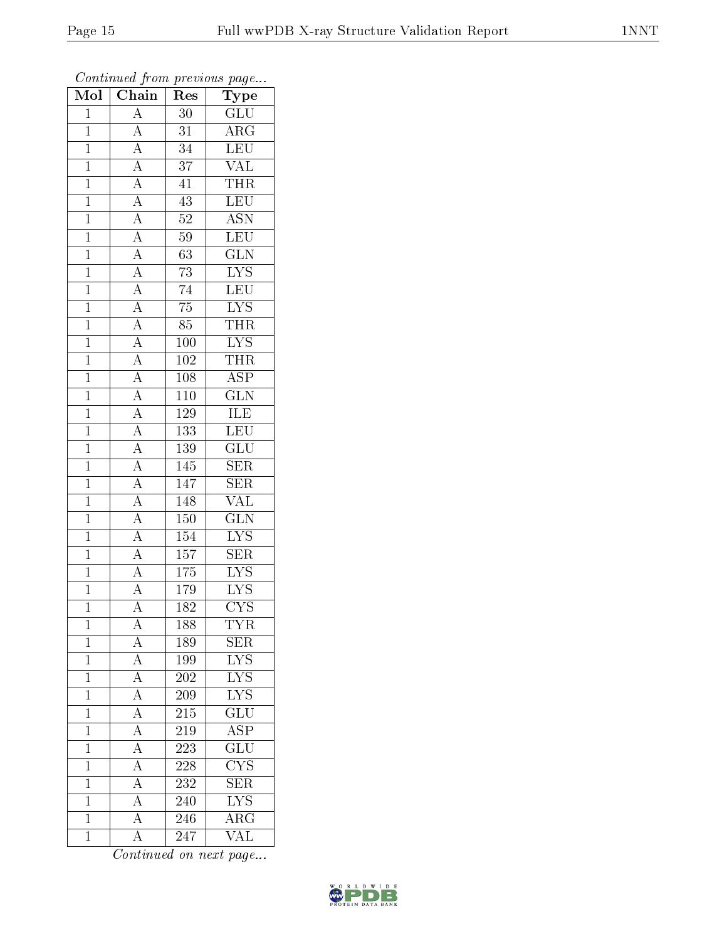| Mol            | $\overline{\text{Chain}}$                                                                                                                                                                                                                                                                                   | Res              | $\mathrm{\bar{Ty}pe}$                      |
|----------------|-------------------------------------------------------------------------------------------------------------------------------------------------------------------------------------------------------------------------------------------------------------------------------------------------------------|------------------|--------------------------------------------|
| $\mathbf{1}$   | $\frac{\overline{A}}{\overline{A}}$                                                                                                                                                                                                                                                                         | 30               | GLU                                        |
| $\overline{1}$ |                                                                                                                                                                                                                                                                                                             | $\overline{31}$  | $\overline{\rm{ARG}}$                      |
| $\overline{1}$ |                                                                                                                                                                                                                                                                                                             | $\overline{34}$  | LEU                                        |
| $\mathbf{1}$   |                                                                                                                                                                                                                                                                                                             | $\overline{37}$  | $\overline{\text{VAL}}$                    |
| $\overline{1}$ |                                                                                                                                                                                                                                                                                                             | $\overline{41}$  | <b>THR</b>                                 |
| $\mathbf{1}$   |                                                                                                                                                                                                                                                                                                             | 43               | LEU                                        |
| $\overline{1}$ |                                                                                                                                                                                                                                                                                                             | $\overline{52}$  | $\overline{\text{ASN}}$                    |
| $\overline{1}$ |                                                                                                                                                                                                                                                                                                             | 59               | LEU                                        |
| $\mathbf{1}$   |                                                                                                                                                                                                                                                                                                             | $\overline{63}$  | $\overline{\text{GLN}}$                    |
| $\overline{1}$ |                                                                                                                                                                                                                                                                                                             | $\overline{73}$  | $\overline{\text{LYS}}$                    |
| $\overline{1}$ |                                                                                                                                                                                                                                                                                                             | 74               | $\overline{\text{LEU}}$                    |
| $\overline{1}$ |                                                                                                                                                                                                                                                                                                             | $\overline{75}$  |                                            |
| $\overline{1}$ |                                                                                                                                                                                                                                                                                                             | $\overline{85}$  | $\frac{\overline{\text{LYS}}}{\text{THR}}$ |
| $\mathbf{1}$   | $\frac{\overline{A}}{\overline{A}}\frac{\overline{A}}{\overline{A}}\frac{\overline{A}}{\overline{A}}\frac{\overline{A}}{\overline{A}}\frac{\overline{A}}{\overline{A}}\frac{\overline{A}}{\overline{A}}\frac{\overline{A}}{\overline{A}}\frac{\overline{A}}{\overline{A}}\frac{\overline{A}}{\overline{A}}$ | 100              | $\frac{\overline{\text{LYS}}}{\text{THR}}$ |
| $\overline{1}$ |                                                                                                                                                                                                                                                                                                             | $\overline{102}$ |                                            |
| $\mathbf{1}$   |                                                                                                                                                                                                                                                                                                             | 108              | $\overline{\text{ASP}}$                    |
| $\overline{1}$ |                                                                                                                                                                                                                                                                                                             | $\overline{110}$ | $\overline{\text{GLN}}$                    |
| $\mathbf{1}$   |                                                                                                                                                                                                                                                                                                             | $1\,29$          | <b>ILE</b>                                 |
| $\overline{1}$ |                                                                                                                                                                                                                                                                                                             | $\overline{133}$ | LEU                                        |
| $\mathbf{1}$   |                                                                                                                                                                                                                                                                                                             | 139              | $\overline{\text{GLU}}$                    |
| $\overline{1}$ | $\frac{\overline{A}}{\overline{A}}$ $\frac{\overline{A}}{\overline{A}}$ $\frac{\overline{A}}{\overline{A}}$ $\frac{\overline{A}}{\overline{A}}$                                                                                                                                                             | 145              | $\overline{\text{SER}}$                    |
| $\overline{1}$ |                                                                                                                                                                                                                                                                                                             | 147              | $\overline{\text{SER}}$                    |
| $\mathbf{1}$   |                                                                                                                                                                                                                                                                                                             | 148              | <b>VAL</b>                                 |
| $\overline{1}$ |                                                                                                                                                                                                                                                                                                             | <b>150</b>       | $\overline{\text{GLN}}$                    |
| $\mathbf{1}$   |                                                                                                                                                                                                                                                                                                             | 154              | $LYS$                                      |
| $\overline{1}$ |                                                                                                                                                                                                                                                                                                             | 157              | SER                                        |
| $\overline{1}$ |                                                                                                                                                                                                                                                                                                             | $\overline{175}$ | $\overline{\text{LYS}}$                    |
| $\mathbf{1}$   |                                                                                                                                                                                                                                                                                                             | $1\,79$          | $\overline{\text{LYS}}$                    |
| $\overline{1}$ |                                                                                                                                                                                                                                                                                                             | $\overline{182}$ | $\overline{\text{CYS}}$                    |
| $\mathbf 1$    | А                                                                                                                                                                                                                                                                                                           | 188              | TYR                                        |
| $\overline{1}$ | $\overline{\rm A}$                                                                                                                                                                                                                                                                                          | 189              | <b>SER</b>                                 |
| $\mathbf 1$    | $\overline{A}$                                                                                                                                                                                                                                                                                              | 199              | $LYS$                                      |
| $\mathbf 1$    | $\overline{A}$                                                                                                                                                                                                                                                                                              | 202              | $\overline{\text{LYS}}$                    |
| $\mathbf{1}$   | $\overline{A}$                                                                                                                                                                                                                                                                                              | $\overline{209}$ | $\overline{\text{LYS}}$                    |
| $\mathbf{1}$   | $\overline{A}$                                                                                                                                                                                                                                                                                              | 215              | $\mathrm{GLU}$                             |
| $\mathbf 1$    | $\overline{A}$                                                                                                                                                                                                                                                                                              | 219              | $\overline{\text{ASP}}$                    |
| $\mathbf{1}$   | $\overline{A}$                                                                                                                                                                                                                                                                                              | 223              | GLU                                        |
| $\mathbf{1}$   | $\overline{A}$                                                                                                                                                                                                                                                                                              | 228              | $\overline{\text{CYS}}$                    |
| $\mathbf{1}$   | $\overline{A}$                                                                                                                                                                                                                                                                                              | 232              | $\overline{\text{SER}}$                    |
| $\mathbf{1}$   | $\overline{A}$                                                                                                                                                                                                                                                                                              | 240              | <b>LYS</b>                                 |
| $\mathbf{1}$   | $\overline{\rm A}$                                                                                                                                                                                                                                                                                          | 246              | $\overline{\rm{ARG}}$                      |
| $\mathbf{1}$   | A                                                                                                                                                                                                                                                                                                           | 247              | VAL                                        |

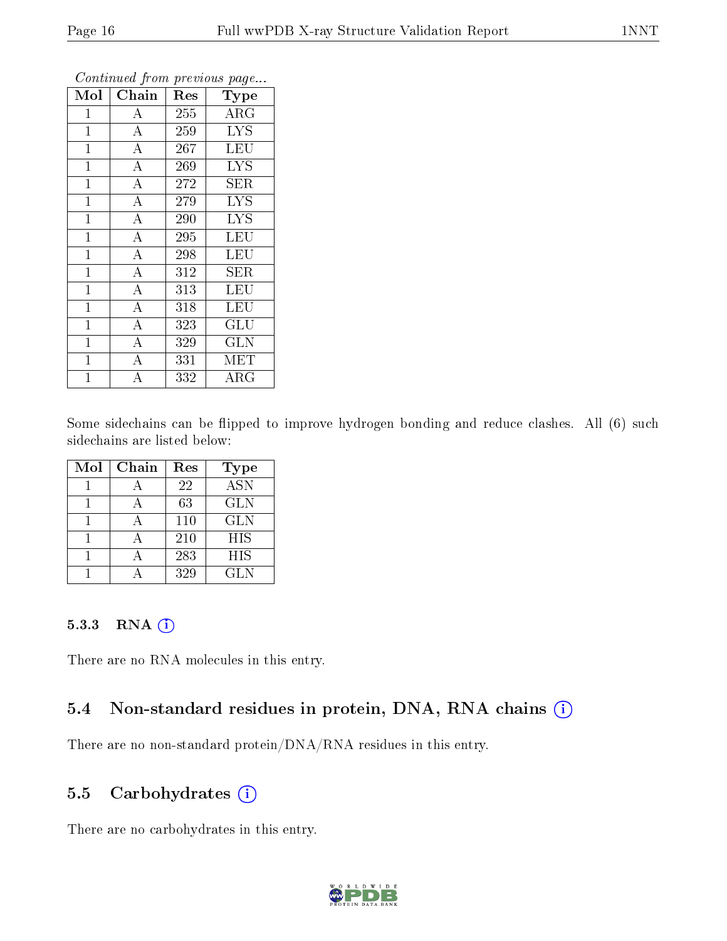| Mol            | Chain              | Res | Type        |  |
|----------------|--------------------|-----|-------------|--|
| $\mathbf 1$    | А                  | 255 | $\rm{ARG}$  |  |
| $\mathbf{1}$   | $\overline{A}$     | 259 | <b>LYS</b>  |  |
| $\mathbf{1}$   | $\overline{A}$     | 267 | <b>LEU</b>  |  |
| $\mathbf{1}$   | $\overline{\rm A}$ | 269 | <b>LYS</b>  |  |
| $\mathbf 1$    | $\overline{A}$     | 272 | SER         |  |
| $\mathbf{1}$   | $\overline{\rm A}$ | 279 | <b>LYS</b>  |  |
| $\mathbf{1}$   | $\overline{\rm A}$ | 290 | <b>LYS</b>  |  |
| $\mathbf{1}$   | $\overline{A}$     | 295 | <b>LEU</b>  |  |
| $\mathbf{1}$   | $\overline{\rm A}$ | 298 | <b>LEU</b>  |  |
| $\mathbf 1$    | $\overline{A}$     | 312 | SER         |  |
| $\mathbf{1}$   | $\overline{A}$     | 313 | <b>LEU</b>  |  |
| $\mathbf{1}$   | $\overline{\rm A}$ | 318 | <b>LEU</b>  |  |
| $\mathbf{1}$   | $\overline{A}$     | 323 | GLU         |  |
| $\mathbf{1}$   | $\overline{\rm A}$ | 329 | <b>GLN</b>  |  |
| $\mathbf{1}$   | $\overline{A}$     | 331 | <b>MET</b>  |  |
| $\overline{1}$ | А                  | 332 | ${\rm ARG}$ |  |

Some sidechains can be flipped to improve hydrogen bonding and reduce clashes. All (6) such sidechains are listed below:

| Mol | Chain | Res | <b>Type</b>      |
|-----|-------|-----|------------------|
|     |       | 22  | $\overline{ASN}$ |
|     |       | 63  | <b>GLN</b>       |
|     |       | 110 | <b>GLN</b>       |
|     |       | 210 | <b>HIS</b>       |
|     |       | 283 | HIS              |
|     |       | 329 | <b>GLN</b>       |

#### 5.3.3 RNA (1)

There are no RNA molecules in this entry.

#### 5.4 Non-standard residues in protein, DNA, RNA chains (i)

There are no non-standard protein/DNA/RNA residues in this entry.

### 5.5 Carbohydrates (i)

There are no carbohydrates in this entry.

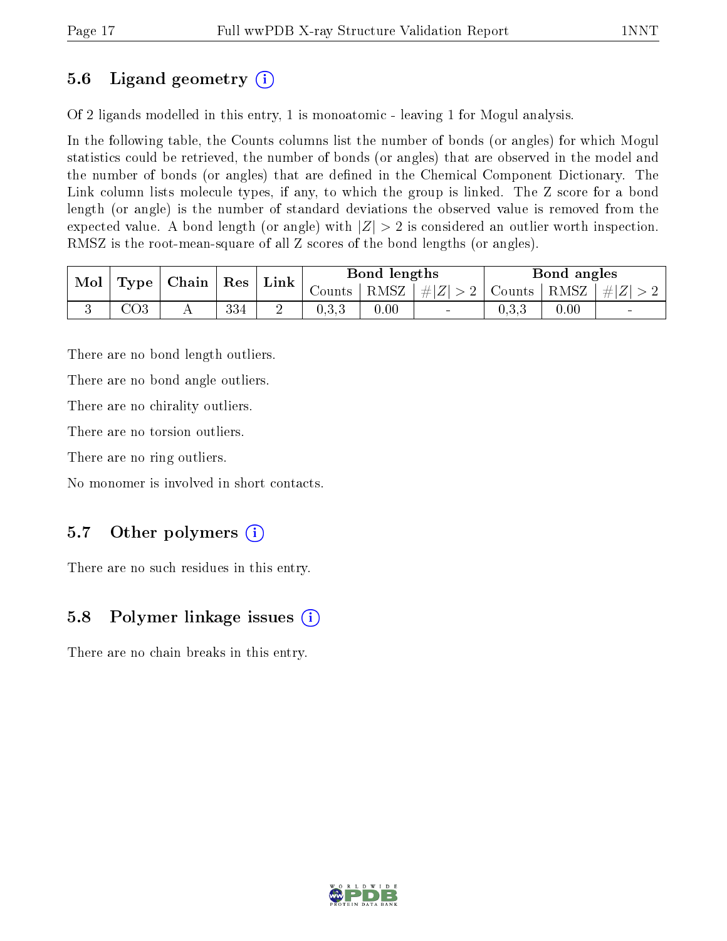# 5.6 Ligand geometry (i)

Of 2 ligands modelled in this entry, 1 is monoatomic - leaving 1 for Mogul analysis.

In the following table, the Counts columns list the number of bonds (or angles) for which Mogul statistics could be retrieved, the number of bonds (or angles) that are observed in the model and the number of bonds (or angles) that are dened in the Chemical Component Dictionary. The Link column lists molecule types, if any, to which the group is linked. The Z score for a bond length (or angle) is the number of standard deviations the observed value is removed from the expected value. A bond length (or angle) with  $|Z| > 2$  is considered an outlier worth inspection. RMSZ is the root-mean-square of all Z scores of the bond lengths (or angles).

| Mol |               | $\vert$ Type $\vert$ Chain $\vert$ | $\mid$ Res | ${\rm Link}$ | Bond lengths |      | Bond angles              |               |      |                |
|-----|---------------|------------------------------------|------------|--------------|--------------|------|--------------------------|---------------|------|----------------|
|     |               |                                    |            |              | Counts       |      | $ RMSZ  \#  Z  > 2  $    | Counts   RMSZ |      | $\# Z $        |
|     | $\bigcirc$ O3 |                                    | 334        | ↩            | 0.3.3        | 0.00 | $\overline{\phantom{a}}$ | 0.3.3         | 0.00 | $\blacksquare$ |

There are no bond length outliers.

There are no bond angle outliers.

There are no chirality outliers.

There are no torsion outliers.

There are no ring outliers.

No monomer is involved in short contacts.

## 5.7 [O](https://www.wwpdb.org/validation/2017/XrayValidationReportHelp#nonstandard_residues_and_ligands)ther polymers  $(i)$

There are no such residues in this entry.

## 5.8 Polymer linkage issues  $(i)$

There are no chain breaks in this entry.